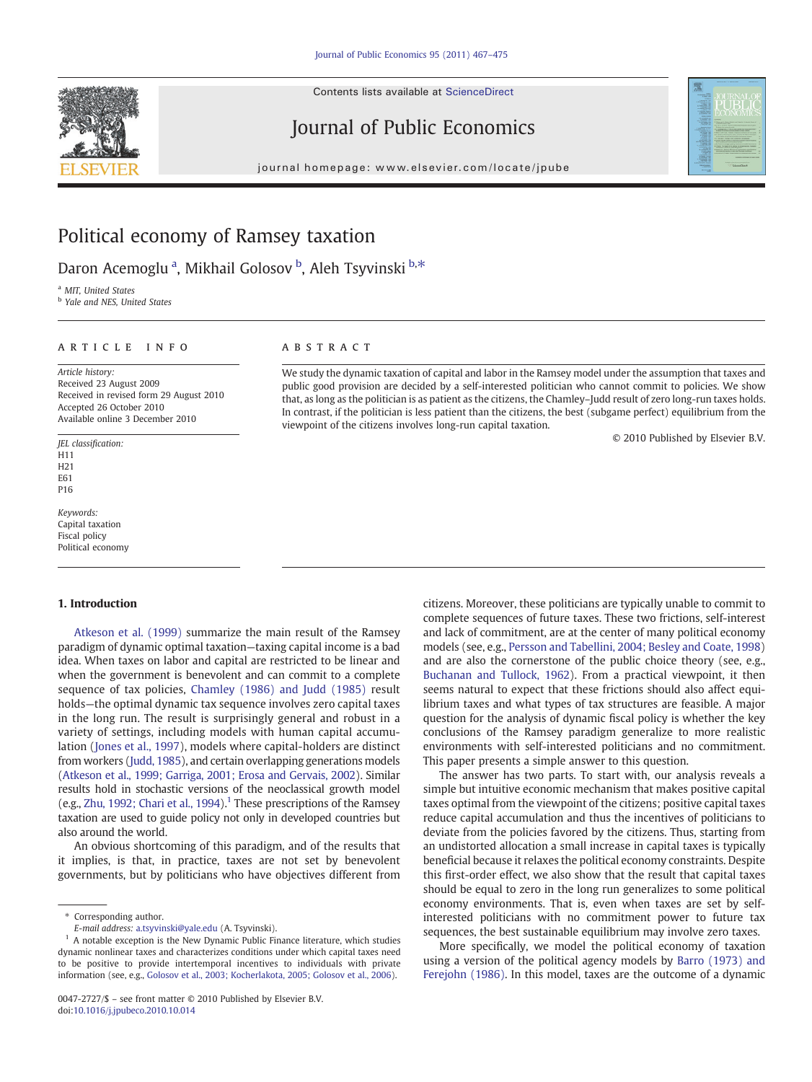Contents lists available at ScienceDirect







journal homepage: www.elsevier.com/locate/jpube

## Political economy of Ramsey taxation

Daron Acemoglu<sup>a</sup>, Mikhail Golosov <sup>b</sup>, Aleh Tsyvinski <sup>b,\*</sup>

a MIT, United States

**b** Yale and NES, United States

#### article info abstract

Article history: Received 23 August 2009 Received in revised form 29 August 2010 Accepted 26 October 2010 Available online 3 December 2010

JEL classification: H11 H<sub>21</sub> E<sub>61</sub> P16

Keywords: Capital taxation Fiscal policy Political economy

### 1. Introduction

[Atkeson et al. \(1999\)](#page--1-0) summarize the main result of the Ramsey paradigm of dynamic optimal taxation—taxing capital income is a bad idea. When taxes on labor and capital are restricted to be linear and when the government is benevolent and can commit to a complete sequence of tax policies, [Chamley \(1986\) and Judd \(1985\)](#page--1-0) result holds—the optimal dynamic tax sequence involves zero capital taxes in the long run. The result is surprisingly general and robust in a variety of settings, including models with human capital accumulation ([Jones et al., 1997\)](#page--1-0), models where capital-holders are distinct from workers [\(Judd, 1985\)](#page--1-0), and certain overlapping generations models [\(Atkeson et al., 1999; Garriga, 2001; Erosa and Gervais, 2002\)](#page--1-0). Similar results hold in stochastic versions of the neoclassical growth model (e.g., [Zhu, 1992; Chari et al., 1994](#page--1-0)).<sup>1</sup> These prescriptions of the Ramsey taxation are used to guide policy not only in developed countries but also around the world.

An obvious shortcoming of this paradigm, and of the results that it implies, is that, in practice, taxes are not set by benevolent governments, but by politicians who have objectives different from

We study the dynamic taxation of capital and labor in the Ramsey model under the assumption that taxes and public good provision are decided by a self-interested politician who cannot commit to policies. We show that, as long as the politician is as patient as the citizens, the Chamley–Judd result of zero long-run taxes holds. In contrast, if the politician is less patient than the citizens, the best (subgame perfect) equilibrium from the viewpoint of the citizens involves long-run capital taxation.

© 2010 Published by Elsevier B.V.

citizens. Moreover, these politicians are typically unable to commit to complete sequences of future taxes. These two frictions, self-interest and lack of commitment, are at the center of many political economy models (see, e.g., [Persson and Tabellini, 2004; Besley and Coate, 1998](#page--1-0)) and are also the cornerstone of the public choice theory (see, e.g., [Buchanan and Tullock, 1962\)](#page--1-0). From a practical viewpoint, it then seems natural to expect that these frictions should also affect equilibrium taxes and what types of tax structures are feasible. A major question for the analysis of dynamic fiscal policy is whether the key conclusions of the Ramsey paradigm generalize to more realistic environments with self-interested politicians and no commitment. This paper presents a simple answer to this question.

The answer has two parts. To start with, our analysis reveals a simple but intuitive economic mechanism that makes positive capital taxes optimal from the viewpoint of the citizens; positive capital taxes reduce capital accumulation and thus the incentives of politicians to deviate from the policies favored by the citizens. Thus, starting from an undistorted allocation a small increase in capital taxes is typically beneficial because it relaxes the political economy constraints. Despite this first-order effect, we also show that the result that capital taxes should be equal to zero in the long run generalizes to some political economy environments. That is, even when taxes are set by selfinterested politicians with no commitment power to future tax sequences, the best sustainable equilibrium may involve zero taxes.

More specifically, we model the political economy of taxation using a version of the political agency models by [Barro \(1973\) and](#page--1-0) [Ferejohn \(1986\)](#page--1-0). In this model, taxes are the outcome of a dynamic

<sup>⁎</sup> Corresponding author.

E-mail address: [a.tsyvinski@yale.edu](mailto:a.tsyvinski@yale.edu) (A. Tsyvinski).

 $1$  A notable exception is the New Dynamic Public Finance literature, which studies dynamic nonlinear taxes and characterizes conditions under which capital taxes need to be positive to provide intertemporal incentives to individuals with private information (see, e.g., [Golosov et al., 2003; Kocherlakota, 2005; Golosov et al., 2006](#page--1-0)).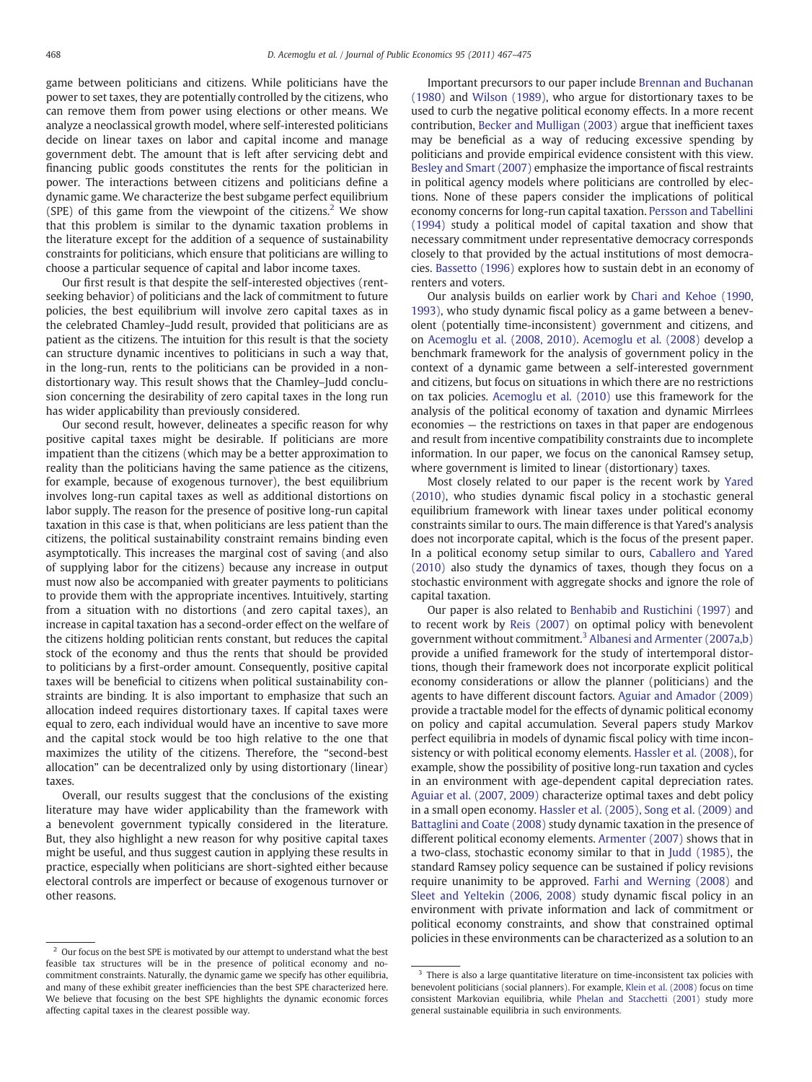game between politicians and citizens. While politicians have the power to set taxes, they are potentially controlled by the citizens, who can remove them from power using elections or other means. We analyze a neoclassical growth model, where self-interested politicians decide on linear taxes on labor and capital income and manage government debt. The amount that is left after servicing debt and financing public goods constitutes the rents for the politician in power. The interactions between citizens and politicians define a dynamic game. We characterize the best subgame perfect equilibrium (SPE) of this game from the viewpoint of the citizens.<sup>2</sup> We show that this problem is similar to the dynamic taxation problems in the literature except for the addition of a sequence of sustainability constraints for politicians, which ensure that politicians are willing to choose a particular sequence of capital and labor income taxes.

Our first result is that despite the self-interested objectives (rentseeking behavior) of politicians and the lack of commitment to future policies, the best equilibrium will involve zero capital taxes as in the celebrated Chamley–Judd result, provided that politicians are as patient as the citizens. The intuition for this result is that the society can structure dynamic incentives to politicians in such a way that, in the long-run, rents to the politicians can be provided in a nondistortionary way. This result shows that the Chamley–Judd conclusion concerning the desirability of zero capital taxes in the long run has wider applicability than previously considered.

Our second result, however, delineates a specific reason for why positive capital taxes might be desirable. If politicians are more impatient than the citizens (which may be a better approximation to reality than the politicians having the same patience as the citizens, for example, because of exogenous turnover), the best equilibrium involves long-run capital taxes as well as additional distortions on labor supply. The reason for the presence of positive long-run capital taxation in this case is that, when politicians are less patient than the citizens, the political sustainability constraint remains binding even asymptotically. This increases the marginal cost of saving (and also of supplying labor for the citizens) because any increase in output must now also be accompanied with greater payments to politicians to provide them with the appropriate incentives. Intuitively, starting from a situation with no distortions (and zero capital taxes), an increase in capital taxation has a second-order effect on the welfare of the citizens holding politician rents constant, but reduces the capital stock of the economy and thus the rents that should be provided to politicians by a first-order amount. Consequently, positive capital taxes will be beneficial to citizens when political sustainability constraints are binding. It is also important to emphasize that such an allocation indeed requires distortionary taxes. If capital taxes were equal to zero, each individual would have an incentive to save more and the capital stock would be too high relative to the one that maximizes the utility of the citizens. Therefore, the "second-best allocation" can be decentralized only by using distortionary (linear) taxes.

Overall, our results suggest that the conclusions of the existing literature may have wider applicability than the framework with a benevolent government typically considered in the literature. But, they also highlight a new reason for why positive capital taxes might be useful, and thus suggest caution in applying these results in practice, especially when politicians are short-sighted either because electoral controls are imperfect or because of exogenous turnover or other reasons.

Important precursors to our paper include [Brennan and Buchanan](#page--1-0) [\(1980\)](#page--1-0) and [Wilson \(1989\),](#page--1-0) who argue for distortionary taxes to be used to curb the negative political economy effects. In a more recent contribution, [Becker and Mulligan \(2003\)](#page--1-0) argue that inefficient taxes may be beneficial as a way of reducing excessive spending by politicians and provide empirical evidence consistent with this view. [Besley and Smart \(2007\)](#page--1-0) emphasize the importance of fiscal restraints in political agency models where politicians are controlled by elections. None of these papers consider the implications of political economy concerns for long-run capital taxation. [Persson and Tabellini](#page--1-0) [\(1994\)](#page--1-0) study a political model of capital taxation and show that necessary commitment under representative democracy corresponds closely to that provided by the actual institutions of most democracies. [Bassetto \(1996\)](#page--1-0) explores how to sustain debt in an economy of renters and voters.

Our analysis builds on earlier work by [Chari and Kehoe \(1990,](#page--1-0) [1993\)](#page--1-0), who study dynamic fiscal policy as a game between a benevolent (potentially time-inconsistent) government and citizens, and on [Acemoglu et al. \(2008, 2010\).](#page--1-0) [Acemoglu et al. \(2008\)](#page--1-0) develop a benchmark framework for the analysis of government policy in the context of a dynamic game between a self-interested government and citizens, but focus on situations in which there are no restrictions on tax policies. [Acemoglu et al. \(2010\)](#page--1-0) use this framework for the analysis of the political economy of taxation and dynamic Mirrlees economies — the restrictions on taxes in that paper are endogenous and result from incentive compatibility constraints due to incomplete information. In our paper, we focus on the canonical Ramsey setup, where government is limited to linear (distortionary) taxes.

Most closely related to our paper is the recent work by [Yared](#page--1-0) [\(2010\),](#page--1-0) who studies dynamic fiscal policy in a stochastic general equilibrium framework with linear taxes under political economy constraints similar to ours. The main difference is that Yared's analysis does not incorporate capital, which is the focus of the present paper. In a political economy setup similar to ours, [Caballero and Yared](#page--1-0) [\(2010\)](#page--1-0) also study the dynamics of taxes, though they focus on a stochastic environment with aggregate shocks and ignore the role of capital taxation.

Our paper is also related to [Benhabib and Rustichini \(1997\)](#page--1-0) and to recent work by [Reis \(2007\)](#page--1-0) on optimal policy with benevolent government without commitment.<sup>3</sup> [Albanesi and Armenter \(2007a,b\)](#page--1-0) provide a unified framework for the study of intertemporal distortions, though their framework does not incorporate explicit political economy considerations or allow the planner (politicians) and the agents to have different discount factors. [Aguiar and Amador \(2009\)](#page--1-0) provide a tractable model for the effects of dynamic political economy on policy and capital accumulation. Several papers study Markov perfect equilibria in models of dynamic fiscal policy with time inconsistency or with political economy elements. [Hassler et al. \(2008\),](#page--1-0) for example, show the possibility of positive long-run taxation and cycles in an environment with age-dependent capital depreciation rates. [Aguiar et al. \(2007, 2009\)](#page--1-0) characterize optimal taxes and debt policy in a small open economy. [Hassler et al. \(2005\), Song et al. \(2009\) and](#page--1-0) [Battaglini and Coate \(2008\)](#page--1-0) study dynamic taxation in the presence of different political economy elements. [Armenter \(2007\)](#page--1-0) shows that in a two-class, stochastic economy similar to that in [Judd \(1985\),](#page--1-0) the standard Ramsey policy sequence can be sustained if policy revisions require unanimity to be approved. [Farhi and Werning \(2008\)](#page--1-0) and [Sleet and Yeltekin \(2006, 2008\)](#page--1-0) study dynamic fiscal policy in an environment with private information and lack of commitment or political economy constraints, and show that constrained optimal policies in these environments can be characterized as a solution to an

 $^{\rm 2}$  Our focus on the best SPE is motivated by our attempt to understand what the best feasible tax structures will be in the presence of political economy and nocommitment constraints. Naturally, the dynamic game we specify has other equilibria, and many of these exhibit greater inefficiencies than the best SPE characterized here. We believe that focusing on the best SPE highlights the dynamic economic forces affecting capital taxes in the clearest possible way.

<sup>&</sup>lt;sup>3</sup> There is also a large quantitative literature on time-inconsistent tax policies with benevolent politicians (social planners). For example, [Klein et al. \(2008\)](#page--1-0) focus on time consistent Markovian equilibria, while [Phelan and Stacchetti \(2001\)](#page--1-0) study more general sustainable equilibria in such environments.